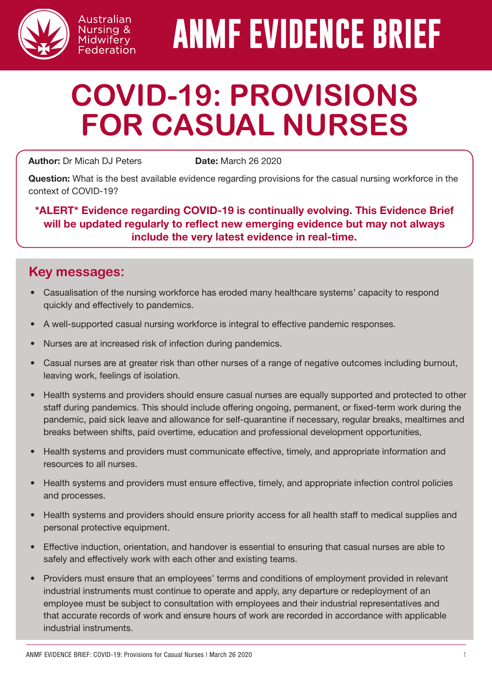

# **ANMF EVIDENCE BRIEF**

# **COVID-19: PROVISIONS FOR CASUAL NURSES**

Author: Dr Micah DJ Peters **Date:** March 26 2020

Australian Nursing & Midwifery Federation

Question: What is the best available evidence regarding provisions for the casual nursing workforce in the context of COVID-19?

\*ALERT\* Evidence regarding COVID-19 is continually evolving. This Evidence Brief will be updated regularly to reflect new emerging evidence but may not always include the very latest evidence in real-time.

# **Key messages:**

- Casualisation of the nursing workforce has eroded many healthcare systems' capacity to respond quickly and effectively to pandemics.
- A well-supported casual nursing workforce is integral to effective pandemic responses.
- Nurses are at increased risk of infection during pandemics.
- Casual nurses are at greater risk than other nurses of a range of negative outcomes including burnout, leaving work, feelings of isolation.
- Health systems and providers should ensure casual nurses are equally supported and protected to other staff during pandemics. This should include offering ongoing, permanent, or fixed-term work during the pandemic, paid sick leave and allowance for self-quarantine if necessary, regular breaks, mealtimes and breaks between shifts, paid overtime, education and professional development opportunities,
- Health systems and providers must communicate effective, timely, and appropriate information and resources to all nurses.
- Health systems and providers must ensure effective, timely, and appropriate infection control policies and processes.
- Health systems and providers should ensure priority access for all health staff to medical supplies and personal protective equipment.
- Effective induction, orientation, and handover is essential to ensuring that casual nurses are able to safely and effectively work with each other and existing teams.
- Providers must ensure that an employees' terms and conditions of employment provided in relevant industrial instruments must continue to operate and apply, any departure or redeployment of an employee must be subject to consultation with employees and their industrial representatives and that accurate records of work and ensure hours of work are recorded in accordance with applicable industrial instruments.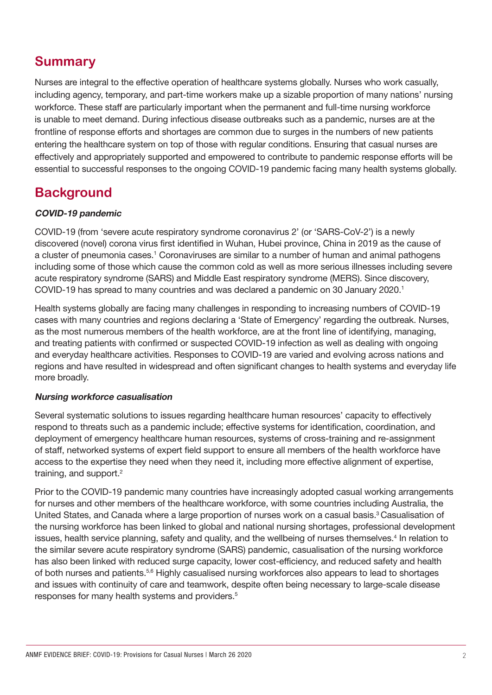# **Summary**

Nurses are integral to the effective operation of healthcare systems globally. Nurses who work casually, including agency, temporary, and part-time workers make up a sizable proportion of many nations' nursing workforce. These staff are particularly important when the permanent and full-time nursing workforce is unable to meet demand. During infectious disease outbreaks such as a pandemic, nurses are at the frontline of response efforts and shortages are common due to surges in the numbers of new patients entering the healthcare system on top of those with regular conditions. Ensuring that casual nurses are effectively and appropriately supported and empowered to contribute to pandemic response efforts will be essential to successful responses to the ongoing COVID-19 pandemic facing many health systems globally.

## **Background**

#### COVID-19 pandemic

COVID-19 (from 'severe acute respiratory syndrome coronavirus 2' (or 'SARS-CoV-2') is a newly discovered (novel) corona virus first identified in Wuhan, Hubei province, China in 2019 as the cause of a cluster of pneumonia cases.<sup>1</sup> Coronaviruses are similar to a number of human and animal pathogens including some of those which cause the common cold as well as more serious illnesses including severe acute respiratory syndrome (SARS) and Middle East respiratory syndrome (MERS). Since discovery, COVID-19 has spread to many countries and was declared a pandemic on 30 January 2020.1

Health systems globally are facing many challenges in responding to increasing numbers of COVID-19 cases with many countries and regions declaring a 'State of Emergency' regarding the outbreak. Nurses, as the most numerous members of the health workforce, are at the front line of identifying, managing, and treating patients with confirmed or suspected COVID-19 infection as well as dealing with ongoing and everyday healthcare activities. Responses to COVID-19 are varied and evolving across nations and regions and have resulted in widespread and often significant changes to health systems and everyday life more broadly.

#### Nursing workforce casualisation

Several systematic solutions to issues regarding healthcare human resources' capacity to effectively respond to threats such as a pandemic include; effective systems for identification, coordination, and deployment of emergency healthcare human resources, systems of cross-training and re-assignment of staff, networked systems of expert field support to ensure all members of the health workforce have access to the expertise they need when they need it, including more effective alignment of expertise, training, and support.<sup>2</sup>

Prior to the COVID-19 pandemic many countries have increasingly adopted casual working arrangements for nurses and other members of the healthcare workforce, with some countries including Australia, the United States, and Canada where a large proportion of nurses work on a casual basis.<sup>3</sup> Casualisation of the nursing workforce has been linked to global and national nursing shortages, professional development issues, health service planning, safety and quality, and the wellbeing of nurses themselves.<sup>4</sup> In relation to the similar severe acute respiratory syndrome (SARS) pandemic, casualisation of the nursing workforce has also been linked with reduced surge capacity, lower cost-efficiency, and reduced safety and health of both nurses and patients.<sup>5,6</sup> Highly casualised nursing workforces also appears to lead to shortages and issues with continuity of care and teamwork, despite often being necessary to large-scale disease responses for many health systems and providers.5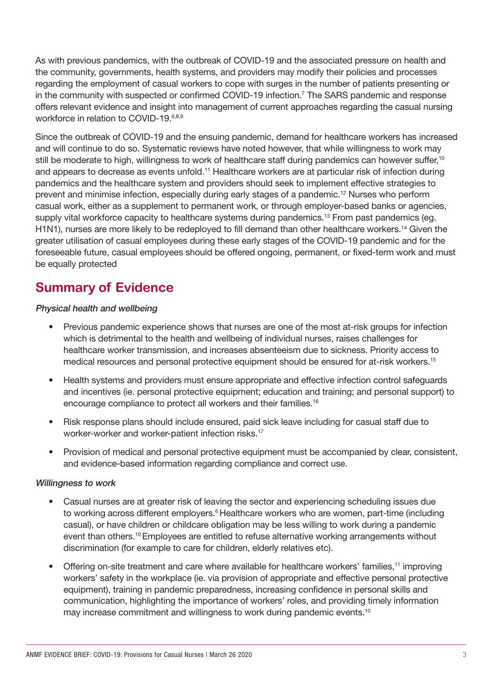As with previous pandemics, with the outbreak of COVID-19 and the associated pressure on health and the community, governments, health systems, and providers may modify their policies and processes regarding the employment of casual workers to cope with surges in the number of patients presenting or in the community with suspected or confirmed COVID-19 infection.<sup>7</sup> The SARS pandemic and response offers relevant evidence and insight into management of current approaches regarding the casual nursing workforce in relation to COVID-19.<sup>6,8,9</sup>

Since the outbreak of COVID-19 and the ensuing pandemic, demand for healthcare workers has increased and will continue to do so. Systematic reviews have noted however, that while willingness to work may still be moderate to high, willingness to work of healthcare staff during pandemics can however suffer,<sup>10</sup> and appears to decrease as events unfold.<sup>11</sup> Healthcare workers are at particular risk of infection during pandemics and the healthcare system and providers should seek to implement effective strategies to prevent and minimise infection, especially during early stages of a pandemic.12 Nurses who perform casual work, either as a supplement to permanent work, or through employer-based banks or agencies, supply vital workforce capacity to healthcare systems during pandemics.<sup>13</sup> From past pandemics (eg. H1N1), nurses are more likely to be redeployed to fill demand than other healthcare workers.14 Given the greater utilisation of casual employees during these early stages of the COVID-19 pandemic and for the foreseeable future, casual employees should be offered ongoing, permanent, or fixed-term work and must be equally protected

## **Summary of Evidence**

#### Physical health and wellbeing

- Previous pandemic experience shows that nurses are one of the most at-risk groups for infection which is detrimental to the health and wellbeing of individual nurses, raises challenges for healthcare worker transmission, and increases absenteeism due to sickness. Priority access to medical resources and personal protective equipment should be ensured for at-risk workers.15
- Health systems and providers must ensure appropriate and effective infection control safeguards and incentives (ie. personal protective equipment; education and training; and personal support) to encourage compliance to protect all workers and their families.16
- Risk response plans should include ensured, paid sick leave including for casual staff due to worker-worker and worker-patient infection risks.<sup>17</sup>
- Provision of medical and personal protective equipment must be accompanied by clear, consistent, and evidence-based information regarding compliance and correct use.

#### Willingness to work

- Casual nurses are at greater risk of leaving the sector and experiencing scheduling issues due to working across different employers.<sup>6</sup> Healthcare workers who are women, part-time (including casual), or have children or childcare obligation may be less willing to work during a pandemic event than others.<sup>10</sup> Employees are entitled to refuse alternative working arrangements without discrimination (for example to care for children, elderly relatives etc).
- Offering on-site treatment and care where available for healthcare workers' families,<sup>11</sup> improving workers' safety in the workplace (ie. via provision of appropriate and effective personal protective equipment), training in pandemic preparedness, increasing confidence in personal skills and communication, highlighting the importance of workers' roles, and providing timely information may increase commitment and willingness to work during pandemic events.<sup>10</sup>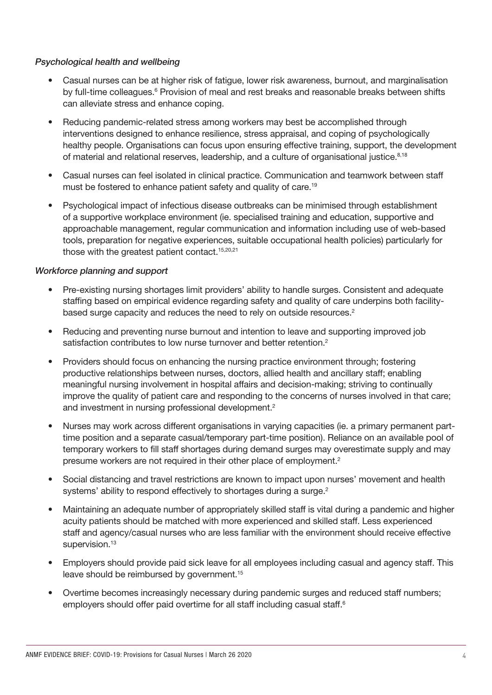#### Psychological health and wellbeing

- Casual nurses can be at higher risk of fatigue, lower risk awareness, burnout, and marginalisation by full-time colleagues.<sup>6</sup> Provision of meal and rest breaks and reasonable breaks between shifts can alleviate stress and enhance coping.
- Reducing pandemic-related stress among workers may best be accomplished through interventions designed to enhance resilience, stress appraisal, and coping of psychologically healthy people. Organisations can focus upon ensuring effective training, support, the development of material and relational reserves, leadership, and a culture of organisational justice.<sup>8,18</sup>
- Casual nurses can feel isolated in clinical practice. Communication and teamwork between staff must be fostered to enhance patient safety and quality of care.<sup>19</sup>
- Psychological impact of infectious disease outbreaks can be minimised through establishment of a supportive workplace environment (ie. specialised training and education, supportive and approachable management, regular communication and information including use of web-based tools, preparation for negative experiences, suitable occupational health policies) particularly for those with the greatest patient contact.<sup>15,20,21</sup>

#### Workforce planning and support

- Pre-existing nursing shortages limit providers' ability to handle surges. Consistent and adequate staffing based on empirical evidence regarding safety and quality of care underpins both facilitybased surge capacity and reduces the need to rely on outside resources.<sup>2</sup>
- Reducing and preventing nurse burnout and intention to leave and supporting improved job satisfaction contributes to low nurse turnover and better retention.<sup>2</sup>
- Providers should focus on enhancing the nursing practice environment through: fostering productive relationships between nurses, doctors, allied health and ancillary staff; enabling meaningful nursing involvement in hospital affairs and decision-making; striving to continually improve the quality of patient care and responding to the concerns of nurses involved in that care; and investment in nursing professional development.<sup>2</sup>
- Nurses may work across different organisations in varying capacities (ie. a primary permanent parttime position and a separate casual/temporary part-time position). Reliance on an available pool of temporary workers to fill staff shortages during demand surges may overestimate supply and may presume workers are not required in their other place of employment.2
- Social distancing and travel restrictions are known to impact upon nurses' movement and health systems' ability to respond effectively to shortages during a surge.<sup>2</sup>
- Maintaining an adequate number of appropriately skilled staff is vital during a pandemic and higher acuity patients should be matched with more experienced and skilled staff. Less experienced staff and agency/casual nurses who are less familiar with the environment should receive effective supervision.<sup>13</sup>
- Employers should provide paid sick leave for all employees including casual and agency staff. This leave should be reimbursed by government.15
- Overtime becomes increasingly necessary during pandemic surges and reduced staff numbers; employers should offer paid overtime for all staff including casual staff.<sup>6</sup>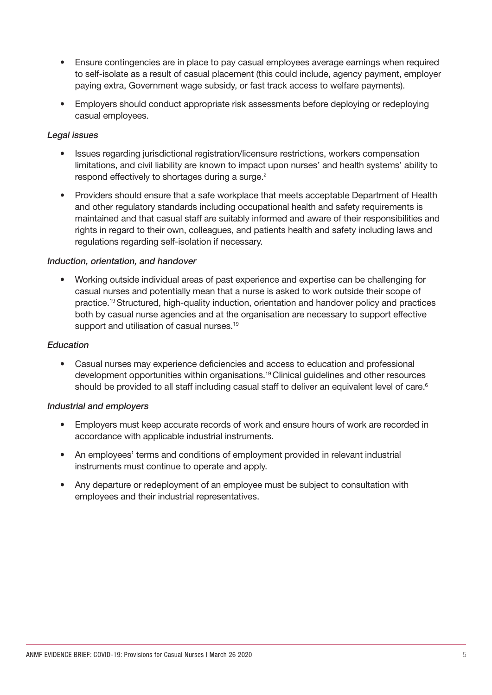- Ensure contingencies are in place to pay casual employees average earnings when required to self-isolate as a result of casual placement (this could include, agency payment, employer paying extra, Government wage subsidy, or fast track access to welfare payments).
- Employers should conduct appropriate risk assessments before deploying or redeploying casual employees.

#### Legal issues

- Issues regarding jurisdictional registration/licensure restrictions, workers compensation limitations, and civil liability are known to impact upon nurses' and health systems' ability to respond effectively to shortages during a surge.<sup>2</sup>
- Providers should ensure that a safe workplace that meets acceptable Department of Health and other regulatory standards including occupational health and safety requirements is maintained and that casual staff are suitably informed and aware of their responsibilities and rights in regard to their own, colleagues, and patients health and safety including laws and regulations regarding self-isolation if necessary.

#### Induction, orientation, and handover

• Working outside individual areas of past experience and expertise can be challenging for casual nurses and potentially mean that a nurse is asked to work outside their scope of practice.19 Structured, high-quality induction, orientation and handover policy and practices both by casual nurse agencies and at the organisation are necessary to support effective support and utilisation of casual nurses.<sup>19</sup>

#### **Education**

• Casual nurses may experience deficiencies and access to education and professional development opportunities within organisations.19 Clinical guidelines and other resources should be provided to all staff including casual staff to deliver an equivalent level of care.<sup>6</sup>

#### Industrial and employers

- Employers must keep accurate records of work and ensure hours of work are recorded in accordance with applicable industrial instruments.
- An employees' terms and conditions of employment provided in relevant industrial instruments must continue to operate and apply.
- Any departure or redeployment of an employee must be subject to consultation with employees and their industrial representatives.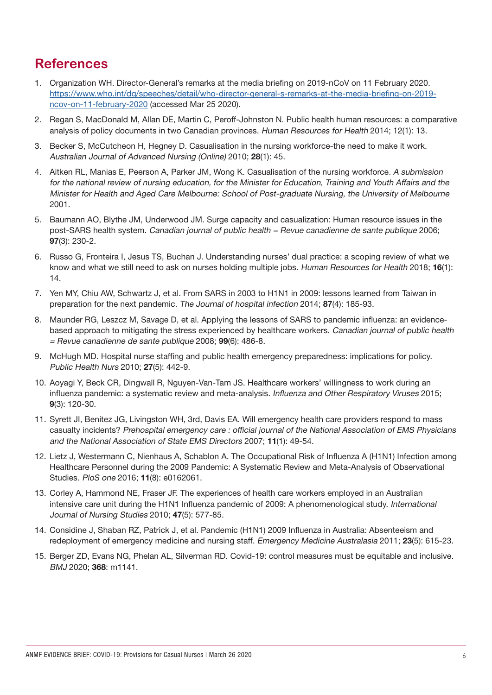# **References**

- 1. Organization WH. Director-General's remarks at the media briefing on 2019-nCoV on 11 February 2020. [https://www.who.int/dg/speeches/detail/who-director-general-s-remarks-at-the-media-briefing-on-2019](https://www.who.int/dg/speeches/detail/who-director-general-s-remarks-at-the-media-briefing-on-2019-ncov-on-11-february-2020) [ncov-on-11-february-2020](https://www.who.int/dg/speeches/detail/who-director-general-s-remarks-at-the-media-briefing-on-2019-ncov-on-11-february-2020) (accessed Mar 25 2020).
- 2. Regan S, MacDonald M, Allan DE, Martin C, Peroff-Johnston N. Public health human resources: a comparative analysis of policy documents in two Canadian provinces. Human Resources for Health 2014; 12(1): 13.
- 3. Becker S, McCutcheon H, Hegney D. Casualisation in the nursing workforce-the need to make it work. Australian Journal of Advanced Nursing (Online) 2010; 28(1): 45.
- 4. Aitken RL, Manias E, Peerson A, Parker JM, Wong K. Casualisation of the nursing workforce. A submission for the national review of nursing education, for the Minister for Education, Training and Youth Affairs and the Minister for Health and Aged Care Melbourne: School of Post-graduate Nursing, the University of Melbourne 2001.
- 5. Baumann AO, Blythe JM, Underwood JM. Surge capacity and casualization: Human resource issues in the post-SARS health system. Canadian journal of public health = Revue canadienne de sante publique 2006; 97(3): 230-2.
- 6. Russo G, Fronteira I, Jesus TS, Buchan J. Understanding nurses' dual practice: a scoping review of what we know and what we still need to ask on nurses holding multiple jobs. Human Resources for Health 2018; 16(1): 14.
- 7. Yen MY, Chiu AW, Schwartz J, et al. From SARS in 2003 to H1N1 in 2009: lessons learned from Taiwan in preparation for the next pandemic. The Journal of hospital infection 2014; 87(4): 185-93.
- 8. Maunder RG, Leszcz M, Savage D, et al. Applying the lessons of SARS to pandemic influenza: an evidencebased approach to mitigating the stress experienced by healthcare workers. Canadian journal of public health = Revue canadienne de sante publique 2008; 99(6): 486-8.
- 9. McHugh MD. Hospital nurse staffing and public health emergency preparedness: implications for policy. Public Health Nurs 2010; 27(5): 442-9.
- 10. Aoyagi Y, Beck CR, Dingwall R, Nguyen-Van-Tam JS. Healthcare workers' willingness to work during an influenza pandemic: a systematic review and meta-analysis. Influenza and Other Respiratory Viruses 2015; 9(3): 120-30.
- 11. Syrett JI, Benitez JG, Livingston WH, 3rd, Davis EA. Will emergency health care providers respond to mass casualty incidents? Prehospital emergency care : official journal of the National Association of EMS Physicians and the National Association of State EMS Directors 2007; 11(1): 49-54.
- 12. Lietz J, Westermann C, Nienhaus A, Schablon A. The Occupational Risk of Influenza A (H1N1) Infection among Healthcare Personnel during the 2009 Pandemic: A Systematic Review and Meta-Analysis of Observational Studies. PloS one 2016; 11(8): e0162061.
- 13. Corley A, Hammond NE, Fraser JF. The experiences of health care workers employed in an Australian intensive care unit during the H1N1 Influenza pandemic of 2009: A phenomenological study. International Journal of Nursing Studies 2010; 47(5): 577-85.
- 14. Considine J, Shaban RZ, Patrick J, et al. Pandemic (H1N1) 2009 Influenza in Australia: Absenteeism and redeployment of emergency medicine and nursing staff. Emergency Medicine Australasia 2011; 23(5): 615-23.
- 15. Berger ZD, Evans NG, Phelan AL, Silverman RD. Covid-19: control measures must be equitable and inclusive. BMJ 2020; 368: m1141.